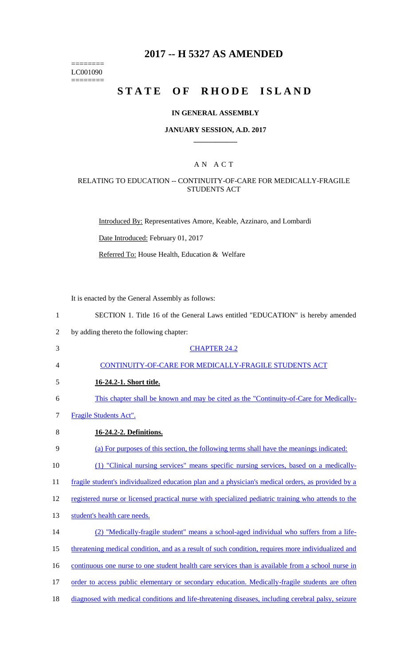======== LC001090  $=$ 

# **2017 -- H 5327 AS AMENDED**

# **STATE OF RHODE ISLAND**

### **IN GENERAL ASSEMBLY**

#### **JANUARY SESSION, A.D. 2017 \_\_\_\_\_\_\_\_\_\_\_\_**

### A N A C T

### RELATING TO EDUCATION -- CONTINUITY-OF-CARE FOR MEDICALLY-FRAGILE STUDENTS ACT

Introduced By: Representatives Amore, Keable, Azzinaro, and Lombardi

Date Introduced: February 01, 2017

Referred To: House Health, Education & Welfare

It is enacted by the General Assembly as follows:

| $\mathbf{1}$   | SECTION 1. Title 16 of the General Laws entitled "EDUCATION" is hereby amended                      |
|----------------|-----------------------------------------------------------------------------------------------------|
| $\overline{2}$ | by adding thereto the following chapter:                                                            |
| 3              | <b>CHAPTER 24.2</b>                                                                                 |
| 4              | CONTINUITY-OF-CARE FOR MEDICALLY-FRAGILE STUDENTS ACT                                               |
| 5              | 16-24.2-1. Short title.                                                                             |
| 6              | This chapter shall be known and may be cited as the "Continuity-of-Care for Medically-              |
| $\tau$         | Fragile Students Act".                                                                              |
| 8              | 16-24.2-2. Definitions.                                                                             |
| 9              | (a) For purposes of this section, the following terms shall have the meanings indicated:            |
| 10             | (1) "Clinical nursing services" means specific nursing services, based on a medically-              |
| 11             | fragile student's individualized education plan and a physician's medical orders, as provided by a  |
| 12             | registered nurse or licensed practical nurse with specialized pediatric training who attends to the |
| 13             | student's health care needs.                                                                        |
| 14             | (2) "Medically-fragile student" means a school-aged individual who suffers from a life-             |
| 15             | threatening medical condition, and as a result of such condition, requires more individualized and  |
| 16             | continuous one nurse to one student health care services than is available from a school nurse in   |
| 17             | order to access public elementary or secondary education. Medically-fragile students are often      |
| 18             | diagnosed with medical conditions and life-threatening diseases, including cerebral palsy, seizure  |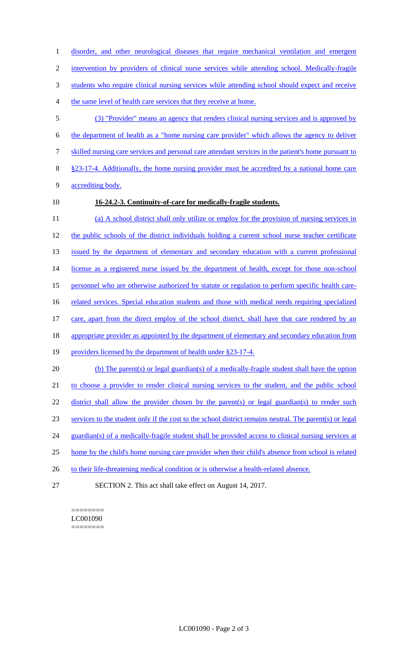1 disorder, and other neurological diseases that require mechanical ventilation and emergent 2 intervention by providers of clinical nurse services while attending school. Medically-fragile 3 students who require clinical nursing services while attending school should expect and receive

- 4 the same level of health care services that they receive at home.
- 5 (3) "Provider" means an agency that renders clinical nursing services and is approved by 6 the department of health as a "home nursing care provider" which allows the agency to deliver 7 skilled nursing care services and personal care attendant services in the patient's home pursuant to 8 §23-17-4. Additionally, the home nursing provider must be accredited by a national home care 9 accrediting body.
- 

## 10 **16-24.2-3. Continuity-of-care for medically-fragile students.**

11 (a) A school district shall only utilize or employ for the provision of nursing services in 12 the public schools of the district individuals holding a current school nurse teacher certificate 13 issued by the department of elementary and secondary education with a current professional 14 license as a registered nurse issued by the department of health, except for those non-school 15 personnel who are otherwise authorized by statute or regulation to perform specific health care-16 related services. Special education students and those with medical needs requiring specialized 17 care, apart from the direct employ of the school district, shall have that care rendered by an 18 appropriate provider as appointed by the department of elementary and secondary education from 19 providers licensed by the department of health under §23-17-4. 20 (b) The parent(s) or legal guardian(s) of a medically-fragile student shall have the option 21 to choose a provider to render clinical nursing services to the student, and the public school 22 district shall allow the provider chosen by the parent(s) or legal guardian(s) to render such 23 services to the student only if the cost to the school district remains neutral. The parent(s) or legal 24 guardian(s) of a medically-fragile student shall be provided access to clinical nursing services at 25 home by the child's home nursing care provider when their child's absence from school is related 26 to their life-threatening medical condition or is otherwise a health-related absence.

27 SECTION 2. This act shall take effect on August 14, 2017.

#### ======== LC001090 ========